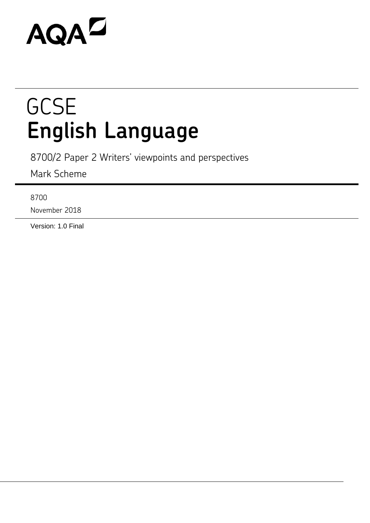# AQAZ

## **GCSE English Language**

8700/2 Paper 2 Writers' viewpoints and perspectives

Mark Scheme

8700

November 2018

Version: 1.0 Final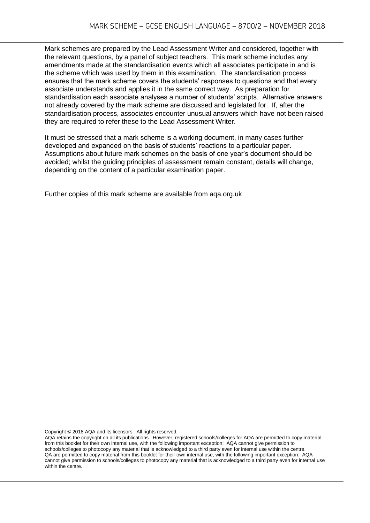Mark schemes are prepared by the Lead Assessment Writer and considered, together with the relevant questions, by a panel of subject teachers. This mark scheme includes any amendments made at the standardisation events which all associates participate in and is the scheme which was used by them in this examination. The standardisation process ensures that the mark scheme covers the students' responses to questions and that every associate understands and applies it in the same correct way. As preparation for standardisation each associate analyses a number of students' scripts. Alternative answers not already covered by the mark scheme are discussed and legislated for. If, after the standardisation process, associates encounter unusual answers which have not been raised they are required to refer these to the Lead Assessment Writer.

It must be stressed that a mark scheme is a working document, in many cases further developed and expanded on the basis of students' reactions to a particular paper. Assumptions about future mark schemes on the basis of one year's document should be avoided; whilst the guiding principles of assessment remain constant, details will change, depending on the content of a particular examination paper.

Further copies of this mark scheme are available from aqa.org.uk

Copyright © 2018 AQA and its licensors. All rights reserved.

AQA retains the copyright on all its publications. However, registered schools/colleges for AQA are permitted to copy material from this booklet for their own internal use, with the following important exception: AQA cannot give permission to schools/colleges to photocopy any material that is acknowledged to a third party even for internal use within the centre. QA are permitted to copy material from this booklet for their own internal use, with the following important exception: AQA cannot give permission to schools/colleges to photocopy any material that is acknowledged to a third party even for internal use within the centre.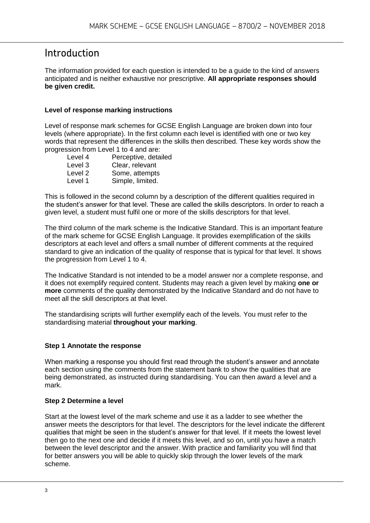## Introduction

The information provided for each question is intended to be a guide to the kind of answers anticipated and is neither exhaustive nor prescriptive. **All appropriate responses should be given credit.** 

#### **Level of response marking instructions**

Level of response mark schemes for GCSE English Language are broken down into four levels (where appropriate). In the first column each level is identified with one or two key words that represent the differences in the skills then described. These key words show the progression from Level 1 to 4 and are:

Level 4 Perceptive, detailed Level 3 Clear, relevant Level 2 Some, attempts Level 1 Simple, limited.

This is followed in the second column by a description of the different qualities required in the student's answer for that level. These are called the skills descriptors. In order to reach a given level, a student must fulfil one or more of the skills descriptors for that level.

The third column of the mark scheme is the Indicative Standard. This is an important feature of the mark scheme for GCSE English Language. It provides exemplification of the skills descriptors at each level and offers a small number of different comments at the required standard to give an indication of the quality of response that is typical for that level. It shows the progression from Level 1 to 4.

The Indicative Standard is not intended to be a model answer nor a complete response, and it does not exemplify required content. Students may reach a given level by making **one or more** comments of the quality demonstrated by the Indicative Standard and do not have to meet all the skill descriptors at that level.

The standardising scripts will further exemplify each of the levels. You must refer to the standardising material **throughout your marking**.

#### **Step 1 Annotate the response**

When marking a response you should first read through the student's answer and annotate each section using the comments from the statement bank to show the qualities that are being demonstrated, as instructed during standardising. You can then award a level and a mark.

#### **Step 2 Determine a level**

Start at the lowest level of the mark scheme and use it as a ladder to see whether the answer meets the descriptors for that level. The descriptors for the level indicate the different qualities that might be seen in the student's answer for that level. If it meets the lowest level then go to the next one and decide if it meets this level, and so on, until you have a match between the level descriptor and the answer. With practice and familiarity you will find that for better answers you will be able to quickly skip through the lower levels of the mark scheme.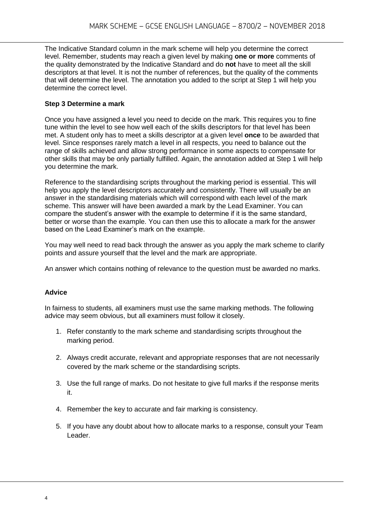The Indicative Standard column in the mark scheme will help you determine the correct level. Remember, students may reach a given level by making **one or more** comments of the quality demonstrated by the Indicative Standard and do **not** have to meet all the skill descriptors at that level. It is not the number of references, but the quality of the comments that will determine the level. The annotation you added to the script at Step 1 will help you determine the correct level.

#### **Step 3 Determine a mark**

Once you have assigned a level you need to decide on the mark. This requires you to fine tune within the level to see how well each of the skills descriptors for that level has been met. A student only has to meet a skills descriptor at a given level **once** to be awarded that level. Since responses rarely match a level in all respects, you need to balance out the range of skills achieved and allow strong performance in some aspects to compensate for other skills that may be only partially fulfilled. Again, the annotation added at Step 1 will help you determine the mark.

Reference to the standardising scripts throughout the marking period is essential. This will help you apply the level descriptors accurately and consistently. There will usually be an answer in the standardising materials which will correspond with each level of the mark scheme. This answer will have been awarded a mark by the Lead Examiner. You can compare the student's answer with the example to determine if it is the same standard, better or worse than the example. You can then use this to allocate a mark for the answer based on the Lead Examiner's mark on the example.

You may well need to read back through the answer as you apply the mark scheme to clarify points and assure yourself that the level and the mark are appropriate.

An answer which contains nothing of relevance to the question must be awarded no marks.

#### **Advice**

In fairness to students, all examiners must use the same marking methods. The following advice may seem obvious, but all examiners must follow it closely.

- 1. Refer constantly to the mark scheme and standardising scripts throughout the marking period.
- 2. Always credit accurate, relevant and appropriate responses that are not necessarily covered by the mark scheme or the standardising scripts.
- 3. Use the full range of marks. Do not hesitate to give full marks if the response merits it.
- 4. Remember the key to accurate and fair marking is consistency.
- 5. If you have any doubt about how to allocate marks to a response, consult your Team Leader.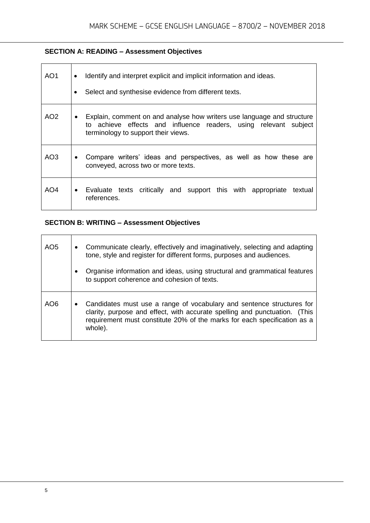#### **SECTION A: READING – Assessment Objectives**

| AO1             | Identify and interpret explicit and implicit information and ideas.<br>٠<br>Select and synthesise evidence from different texts.                                                               |
|-----------------|------------------------------------------------------------------------------------------------------------------------------------------------------------------------------------------------|
| AO <sub>2</sub> | Explain, comment on and analyse how writers use language and structure<br>$\bullet$<br>to achieve effects and influence readers, using relevant subject<br>terminology to support their views. |
| AO3             | Compare writers' ideas and perspectives, as well as how these are<br>$\bullet$<br>conveyed, across two or more texts.                                                                          |
| AO4             | • Evaluate texts critically and support this with appropriate<br>textual<br>references.                                                                                                        |

### **SECTION B: WRITING – Assessment Objectives**

| AO <sub>5</sub> | $\bullet$<br>$\bullet$ | Communicate clearly, effectively and imaginatively, selecting and adapting<br>tone, style and register for different forms, purposes and audiences.<br>Organise information and ideas, using structural and grammatical features<br>to support coherence and cohesion of texts. |
|-----------------|------------------------|---------------------------------------------------------------------------------------------------------------------------------------------------------------------------------------------------------------------------------------------------------------------------------|
| AO6             | $\bullet$              | Candidates must use a range of vocabulary and sentence structures for<br>clarity, purpose and effect, with accurate spelling and punctuation. (This<br>requirement must constitute 20% of the marks for each specification as a<br>whole).                                      |

 $\overline{\phantom{a}}$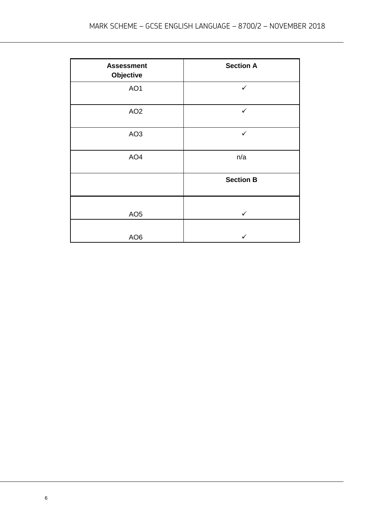| <b>Assessment</b><br>Objective | <b>Section A</b> |
|--------------------------------|------------------|
| AO <sub>1</sub>                | $\checkmark$     |
| AO <sub>2</sub>                | $\checkmark$     |
| AO <sub>3</sub>                | $\checkmark$     |
| AO <sub>4</sub>                | n/a              |
|                                | <b>Section B</b> |
| AO <sub>5</sub>                | $\checkmark$     |
| AO <sub>6</sub>                |                  |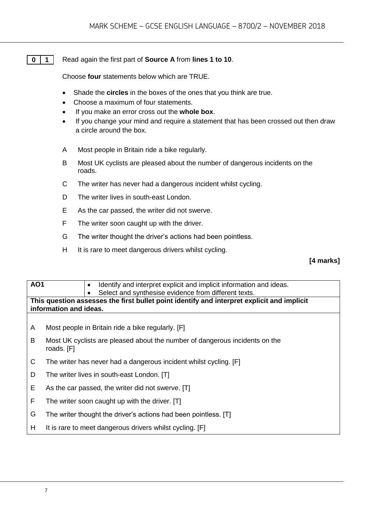#### **0 1** Read again the first part of **Source A** from **lines 1 to 10**.

Choose **four** statements below which are TRUE.

- Shade the **circles** in the boxes of the ones that you think are true.
- Choose a maximum of four statements.
- If you make an error cross out the **whole box**.
- If you change your mind and require a statement that has been crossed out then draw a circle around the box.
- A Most people in Britain ride a bike regularly.
- B Most UK cyclists are pleased about the number of dangerous incidents on the roads.
- C The writer has never had a dangerous incident whilst cycling.
- D The writer lives in south-east London.
- E As the car passed, the writer did not swerve.
- F The writer soon caught up with the driver.
- G The writer thought the driver's actions had been pointless.
- H It is rare to meet dangerous drivers whilst cycling.

#### **[4 marks]**

| <b>AO1</b> | Identify and interpret explicit and implicit information and ideas.                        |  |  |  |
|------------|--------------------------------------------------------------------------------------------|--|--|--|
|            | Select and synthesise evidence from different texts.                                       |  |  |  |
|            | This question assesses the first bullet point identify and interpret explicit and implicit |  |  |  |
|            | information and ideas.                                                                     |  |  |  |
|            |                                                                                            |  |  |  |
|            |                                                                                            |  |  |  |
| A          | Most people in Britain ride a bike regularly. [F]                                          |  |  |  |
|            |                                                                                            |  |  |  |
| B          | Most UK cyclists are pleased about the number of dangerous incidents on the                |  |  |  |
|            | roads. [F]                                                                                 |  |  |  |
| C          | The writer has never had a dangerous incident whilst cycling. [F]                          |  |  |  |
|            |                                                                                            |  |  |  |
| D          | The writer lives in south-east London. [T]                                                 |  |  |  |
|            |                                                                                            |  |  |  |
| Е          | As the car passed, the writer did not swerve. [T]                                          |  |  |  |
| F          | The writer soon caught up with the driver. [T]                                             |  |  |  |
|            |                                                                                            |  |  |  |
| G          | The writer thought the driver's actions had been pointless. [T]                            |  |  |  |
|            |                                                                                            |  |  |  |
| H          | It is rare to meet dangerous drivers whilst cycling. [F]                                   |  |  |  |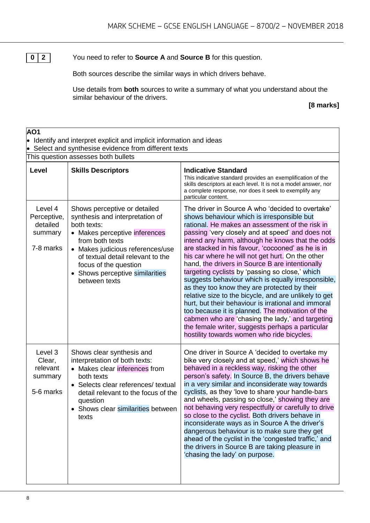**0 2** You need to refer to **Source A** and **Source B** for this question.

Both sources describe the similar ways in which drivers behave.

Use details from **both** sources to write a summary of what you understand about the similar behaviour of the drivers.

#### **[8 marks]**

| AO1<br>Identify and interpret explicit and implicit information and ideas<br>$\bullet$<br>Select and synthesise evidence from different texts |                                                                                                                                                                                                                                                                                          |                                                                                                                                                                                                                                                                                                                                                                                                                                                                                                                                                                                                                                                                                                                                                                                                                                                                                                          |  |
|-----------------------------------------------------------------------------------------------------------------------------------------------|------------------------------------------------------------------------------------------------------------------------------------------------------------------------------------------------------------------------------------------------------------------------------------------|----------------------------------------------------------------------------------------------------------------------------------------------------------------------------------------------------------------------------------------------------------------------------------------------------------------------------------------------------------------------------------------------------------------------------------------------------------------------------------------------------------------------------------------------------------------------------------------------------------------------------------------------------------------------------------------------------------------------------------------------------------------------------------------------------------------------------------------------------------------------------------------------------------|--|
| This question assesses both bullets                                                                                                           |                                                                                                                                                                                                                                                                                          |                                                                                                                                                                                                                                                                                                                                                                                                                                                                                                                                                                                                                                                                                                                                                                                                                                                                                                          |  |
| Level                                                                                                                                         | <b>Skills Descriptors</b>                                                                                                                                                                                                                                                                | <b>Indicative Standard</b><br>This indicative standard provides an exemplification of the<br>skills descriptors at each level. It is not a model answer, nor<br>a complete response, nor does it seek to exemplify any<br>particular content.                                                                                                                                                                                                                                                                                                                                                                                                                                                                                                                                                                                                                                                            |  |
| Level 4<br>Perceptive,<br>detailed<br>summary<br>7-8 marks                                                                                    | Shows perceptive or detailed<br>synthesis and interpretation of<br>both texts:<br>• Makes perceptive inferences<br>from both texts<br>• Makes judicious references/use<br>of textual detail relevant to the<br>focus of the question<br>• Shows perceptive similarities<br>between texts | The driver in Source A who 'decided to overtake'<br>shows behaviour which is irresponsible but<br>rational. He makes an assessment of the risk in<br>passing 'very closely and at speed' and does not<br>intend any harm, although he knows that the odds<br>are stacked in his favour, 'cocooned' as he is in<br>his car where he will not get hurt. On the other<br>hand, the drivers in Source B are intentionally<br>targeting cyclists by 'passing so close,' which<br>suggests behaviour which is equally irresponsible,<br>as they too know they are protected by their<br>relative size to the bicycle, and are unlikely to get<br>hurt, but their behaviour is irrational and immoral<br>too because it is planned. The motivation of the<br>cabmen who are 'chasing the lady,' and targeting<br>the female writer, suggests perhaps a particular<br>hostility towards women who ride bicycles. |  |
| Level 3<br>Clear,<br>relevant<br>summary<br>5-6 marks                                                                                         | Shows clear synthesis and<br>interpretation of both texts:<br>• Makes clear inferences from<br>both texts<br>• Selects clear references/ textual<br>detail relevant to the focus of the<br>question<br>Shows clear similarities between<br>texts                                         | One driver in Source A 'decided to overtake my<br>bike very closely and at speed,' which shows he<br>behaved in a reckless way, risking the other<br>person's safety. In Source B, the drivers behave<br>in a very similar and inconsiderate way towards<br>cyclists, as they 'love to share your handle-bars<br>and wheels, passing so close,' showing they are<br>not behaving very respectfully or carefully to drive<br>so close to the cyclist. Both drivers behave in<br>inconsiderate ways as in Source A the driver's<br>dangerous behaviour is to make sure they get<br>ahead of the cyclist in the 'congested traffic,' and<br>the drivers in Source B are taking pleasure in<br>'chasing the lady' on purpose.                                                                                                                                                                                |  |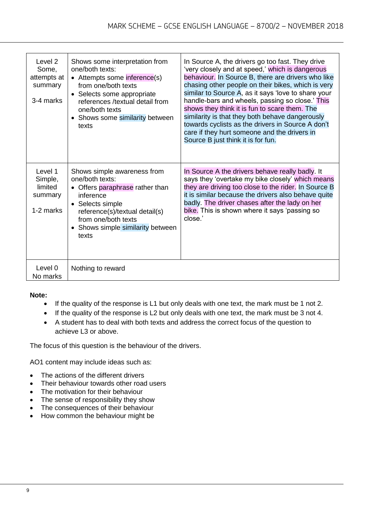| Level 2<br>Some,<br>attempts at<br>summary<br>3-4 marks | Shows some interpretation from<br>one/both texts:<br>• Attempts some inference(s)<br>from one/both texts<br>• Selects some appropriate<br>references /textual detail from<br>one/both texts<br>• Shows some similarity between<br>texts | In Source A, the drivers go too fast. They drive<br>'very closely and at speed,' which is dangerous<br>behaviour. In Source B, there are drivers who like<br>chasing other people on their bikes, which is very<br>similar to Source A, as it says 'love to share your<br>handle-bars and wheels, passing so close.' This<br>shows they think it is fun to scare them. The<br>similarity is that they both behave dangerously<br>towards cyclists as the drivers in Source A don't<br>care if they hurt someone and the drivers in<br>Source B just think it is for fun. |
|---------------------------------------------------------|-----------------------------------------------------------------------------------------------------------------------------------------------------------------------------------------------------------------------------------------|--------------------------------------------------------------------------------------------------------------------------------------------------------------------------------------------------------------------------------------------------------------------------------------------------------------------------------------------------------------------------------------------------------------------------------------------------------------------------------------------------------------------------------------------------------------------------|
| Level 1<br>Simple,<br>limited<br>summary<br>1-2 marks   | Shows simple awareness from<br>one/both texts:<br>Offers paraphrase rather than<br>inference<br>• Selects simple<br>reference(s)/textual detail(s)<br>from one/both texts<br>• Shows simple similarity between<br>texts                 | In Source A the drivers behave really badly. It<br>says they 'overtake my bike closely' which means<br>they are driving too close to the rider. In Source B<br>it is similar because the drivers also behave quite<br>badly. The driver chases after the lady on her<br>bike. This is shown where it says 'passing so<br>close.'                                                                                                                                                                                                                                         |
| Level 0<br>No marks                                     | Nothing to reward                                                                                                                                                                                                                       |                                                                                                                                                                                                                                                                                                                                                                                                                                                                                                                                                                          |

#### **Note:**

- If the quality of the response is L1 but only deals with one text, the mark must be 1 not 2.
- If the quality of the response is L2 but only deals with one text, the mark must be 3 not 4.
- A student has to deal with both texts and address the correct focus of the question to achieve L3 or above.

The focus of this question is the behaviour of the drivers.

AO1 content may include ideas such as:

- The actions of the different drivers
- Their behaviour towards other road users
- The motivation for their behaviour
- The sense of responsibility they show
- The consequences of their behaviour
- How common the behaviour might be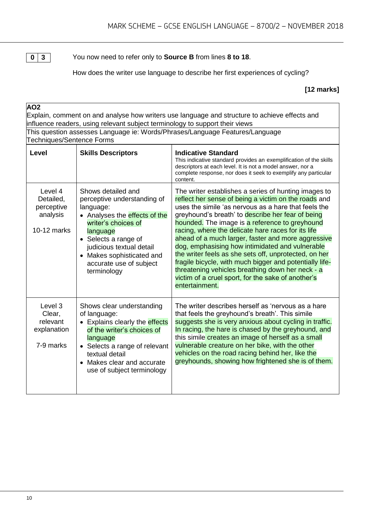**0 3** You now need to refer only to **Source B** from lines **8 to 18**.

How does the writer use language to describe her first experiences of cycling?

**[12 marks]**

| AO <sub>2</sub>                                                                                                                                                               |                                                                                                                                                                                                                                                               |                                                                                                                                                                                                                                                                                                                                                                                                                                                                                                                                                                                                                                                                                            |  |  |
|-------------------------------------------------------------------------------------------------------------------------------------------------------------------------------|---------------------------------------------------------------------------------------------------------------------------------------------------------------------------------------------------------------------------------------------------------------|--------------------------------------------------------------------------------------------------------------------------------------------------------------------------------------------------------------------------------------------------------------------------------------------------------------------------------------------------------------------------------------------------------------------------------------------------------------------------------------------------------------------------------------------------------------------------------------------------------------------------------------------------------------------------------------------|--|--|
| Explain, comment on and analyse how writers use language and structure to achieve effects and<br>influence readers, using relevant subject terminology to support their views |                                                                                                                                                                                                                                                               |                                                                                                                                                                                                                                                                                                                                                                                                                                                                                                                                                                                                                                                                                            |  |  |
| This question assesses Language ie: Words/Phrases/Language Features/Language<br>Techniques/Sentence Forms                                                                     |                                                                                                                                                                                                                                                               |                                                                                                                                                                                                                                                                                                                                                                                                                                                                                                                                                                                                                                                                                            |  |  |
| <b>Level</b>                                                                                                                                                                  | <b>Skills Descriptors</b>                                                                                                                                                                                                                                     | <b>Indicative Standard</b><br>This indicative standard provides an exemplification of the skills<br>descriptors at each level. It is not a model answer, nor a<br>complete response, nor does it seek to exemplify any particular<br>content.                                                                                                                                                                                                                                                                                                                                                                                                                                              |  |  |
| Level 4<br>Detailed,<br>perceptive<br>analysis<br>10-12 marks                                                                                                                 | Shows detailed and<br>perceptive understanding of<br>language:<br>• Analyses the effects of the<br>writer's choices of<br>language<br>• Selects a range of<br>judicious textual detail<br>• Makes sophisticated and<br>accurate use of subject<br>terminology | The writer establishes a series of hunting images to<br>reflect her sense of being a victim on the roads and<br>uses the simile 'as nervous as a hare that feels the<br>greyhound's breath' to describe her fear of being<br>hounded. The image is a reference to greyhound<br>racing, where the delicate hare races for its life<br>ahead of a much larger, faster and more aggressive<br>dog, emphasising how intimidated and vulnerable<br>the writer feels as she sets off, unprotected, on her<br>fragile bicycle, with much bigger and potentially life-<br>threatening vehicles breathing down her neck - a<br>victim of a cruel sport, for the sake of another's<br>entertainment. |  |  |
| Level 3<br>Clear,<br>relevant<br>explanation<br>7-9 marks                                                                                                                     | Shows clear understanding<br>of language:<br>• Explains clearly the effects<br>of the writer's choices of<br>language<br>• Selects a range of relevant<br>textual detail<br>• Makes clear and accurate<br>use of subject terminology                          | The writer describes herself as 'nervous as a hare<br>that feels the greyhound's breath'. This simile<br>suggests she is very anxious about cycling in traffic.<br>In racing, the hare is chased by the greyhound, and<br>this simile creates an image of herself as a small<br>vulnerable creature on her bike, with the other<br>vehicles on the road racing behind her, like the<br>greyhounds, showing how frightened she is of them.                                                                                                                                                                                                                                                  |  |  |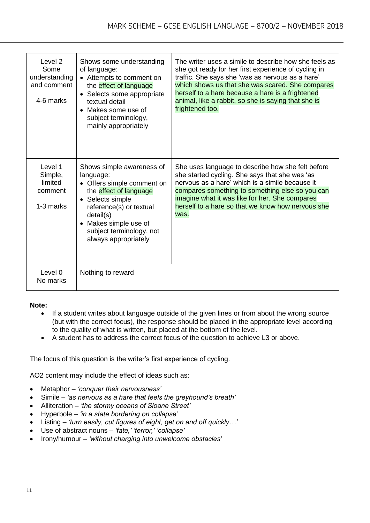| Level 2<br>Some<br>understanding<br>and comment<br>4-6 marks | Shows some understanding<br>of language:<br>• Attempts to comment on<br>the effect of language<br>• Selects some appropriate<br>textual detail<br>• Makes some use of<br>subject terminology,<br>mainly appropriately                   | The writer uses a simile to describe how she feels as<br>she got ready for her first experience of cycling in<br>traffic. She says she 'was as nervous as a hare'<br>which shows us that she was scared. She compares<br>herself to a hare because a hare is a frightened<br>animal, like a rabbit, so she is saying that she is<br>frightened too. |
|--------------------------------------------------------------|-----------------------------------------------------------------------------------------------------------------------------------------------------------------------------------------------------------------------------------------|-----------------------------------------------------------------------------------------------------------------------------------------------------------------------------------------------------------------------------------------------------------------------------------------------------------------------------------------------------|
| Level 1<br>Simple,<br>limited<br>comment<br>1-3 marks        | Shows simple awareness of<br>language:<br>• Offers simple comment on<br>the effect of language<br>• Selects simple<br>reference(s) or textual<br>detail(s)<br>• Makes simple use of<br>subject terminology, not<br>always appropriately | She uses language to describe how she felt before<br>she started cycling. She says that she was 'as<br>nervous as a hare' which is a simile because it<br>compares something to something else so you can<br>imagine what it was like for her. She compares<br>herself to a hare so that we know how nervous she<br>was.                            |
| Level 0<br>No marks                                          | Nothing to reward                                                                                                                                                                                                                       |                                                                                                                                                                                                                                                                                                                                                     |

#### **Note:**

- If a student writes about language outside of the given lines or from about the wrong source (but with the correct focus), the response should be placed in the appropriate level according to the quality of what is written, but placed at the bottom of the level.
- A student has to address the correct focus of the question to achieve L3 or above.

The focus of this question is the writer's first experience of cycling.

AO2 content may include the effect of ideas such as:

- Metaphor *'conquer their nervousness'*
- Simile *'as nervous as a hare that feels the greyhound's breath'*
- Alliteration *'the stormy oceans of Sloane Street'*
- Hyperbole *'in a state bordering on collapse'*
- Listing *'turn easily, cut figures of eight, get on and off quickly…'*
- Use of abstract nouns *'fate,' 'terror,' 'collapse'*
- Irony/humour *'without charging into unwelcome obstacles'*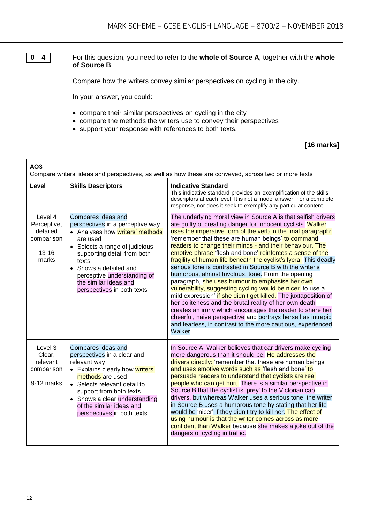**0 4** For this question, you need to refer to the **whole of Source A**, together with the **whole of Source B**.

Compare how the writers convey similar perspectives on cycling in the city.

In your answer, you could:

- compare their similar perspectives on cycling in the city
- compare the methods the writers use to convey their perspectives
- support your response with references to both texts.

#### **[16 marks]**

| AO <sub>3</sub><br>Compare writers' ideas and perspectives, as well as how these are conveyed, across two or more texts |                                                                                                                                                                                                                                                                                                 |                                                                                                                                                                                                                                                                                                                                                                                                                                                                                                                                                                                                                                                                                                                                                                                                                                                                                                                                                                                                                       |  |
|-------------------------------------------------------------------------------------------------------------------------|-------------------------------------------------------------------------------------------------------------------------------------------------------------------------------------------------------------------------------------------------------------------------------------------------|-----------------------------------------------------------------------------------------------------------------------------------------------------------------------------------------------------------------------------------------------------------------------------------------------------------------------------------------------------------------------------------------------------------------------------------------------------------------------------------------------------------------------------------------------------------------------------------------------------------------------------------------------------------------------------------------------------------------------------------------------------------------------------------------------------------------------------------------------------------------------------------------------------------------------------------------------------------------------------------------------------------------------|--|
| Level                                                                                                                   | <b>Skills Descriptors</b>                                                                                                                                                                                                                                                                       | <b>Indicative Standard</b><br>This indicative standard provides an exemplification of the skills<br>descriptors at each level. It is not a model answer, nor a complete<br>response, nor does it seek to exemplify any particular content.                                                                                                                                                                                                                                                                                                                                                                                                                                                                                                                                                                                                                                                                                                                                                                            |  |
| Level 4<br>Perceptive,<br>detailed<br>comparison<br>$13 - 16$<br>marks                                                  | Compares ideas and<br>perspectives in a perceptive way<br>• Analyses how writers' methods<br>are used<br>• Selects a range of judicious<br>supporting detail from both<br>texts<br>• Shows a detailed and<br>perceptive understanding of<br>the similar ideas and<br>perspectives in both texts | The underlying moral view in Source A is that selfish drivers<br>are guilty of creating danger for innocent cyclists. Walker<br>uses the imperative form of the verb in the final paragraph:<br>'remember that these are human beings' to command<br>readers to change their minds - and their behaviour. The<br>emotive phrase 'flesh and bone' reinforces a sense of the<br>fragility of human life beneath the cyclist's lycra. This deadly<br>serious tone is contrasted in Source B with the writer's<br>humorous, almost frivolous, tone. From the opening<br>paragraph, she uses humour to emphasise her own<br>vulnerability, suggesting cycling would be nicer 'to use a<br>mild expression' if she didn't get killed. The juxtaposition of<br>her politeness and the brutal reality of her own death<br>creates an irony which encourages the reader to share her<br>cheerful, naive perspective and portrays herself as intrepid<br>and fearless, in contrast to the more cautious, experienced<br>Walker. |  |
| Level 3<br>Clear,<br>relevant<br>comparison<br>9-12 marks                                                               | Compares ideas and<br>perspectives in a clear and<br>relevant way<br>• Explains clearly how writers'<br>methods are used<br>• Selects relevant detail to<br>support from both texts<br>• Shows a clear understanding<br>of the similar ideas and<br>perspectives in both texts                  | In Source A, Walker believes that car drivers make cycling<br>more dangerous than it should be. He addresses the<br>drivers directly: 'remember that these are human beings'<br>and uses emotive words such as 'flesh and bone' to<br>persuade readers to understand that cyclists are real<br>people who can get hurt. There is a similar perspective in<br>Source B that the cyclist is 'prey' to the Victorian cab<br>drivers, but whereas Walker uses a serious tone, the writer<br>in Source B uses a humorous tone by stating that her life<br>would be 'nicer' if they didn't try to kill her. The effect of<br>using humour is that the writer comes across as more<br>confident than Walker because she makes a joke out of the<br>dangers of cycling in traffic.                                                                                                                                                                                                                                            |  |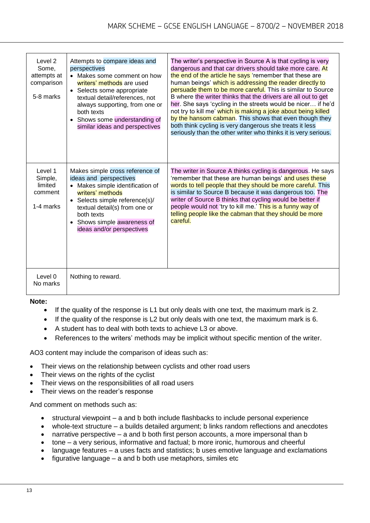| Level 2<br>Some,<br>attempts at<br>comparison<br>5-8 marks | Attempts to compare ideas and<br>perspectives<br>• Makes some comment on how<br>writers' methods are used<br>• Selects some appropriate<br>textual detail/references, not<br>always supporting, from one or<br>both texts<br>Shows some understanding of<br>similar ideas and perspectives | The writer's perspective in Source A is that cycling is very<br>dangerous and that car drivers should take more care. At<br>the end of the article he says 'remember that these are<br>human beings' which is addressing the reader directly to<br>persuade them to be more careful. This is similar to Source<br>B where the writer thinks that the drivers are all out to get<br>her. She says 'cycling in the streets would be nicer if he'd<br>not try to kill me' which is making a joke about being killed<br>by the hansom cabman. This shows that even though they<br>both think cycling is very dangerous she treats it less<br>seriously than the other writer who thinks it is very serious. |
|------------------------------------------------------------|--------------------------------------------------------------------------------------------------------------------------------------------------------------------------------------------------------------------------------------------------------------------------------------------|---------------------------------------------------------------------------------------------------------------------------------------------------------------------------------------------------------------------------------------------------------------------------------------------------------------------------------------------------------------------------------------------------------------------------------------------------------------------------------------------------------------------------------------------------------------------------------------------------------------------------------------------------------------------------------------------------------|
| Level 1<br>Simple,<br>limited<br>comment<br>1-4 marks      | Makes simple cross reference of<br>ideas and perspectives<br>• Makes simple identification of<br>writers' methods<br>• Selects simple reference(s)/<br>textual detail(s) from one or<br>both texts<br>• Shows simple awareness of<br>ideas and/or perspectives                             | The writer in Source A thinks cycling is dangerous. He says<br>'remember that these are human beings' and uses these<br>words to tell people that they should be more careful. This<br>is similar to Source B because it was dangerous too. The<br>writer of Source B thinks that cycling would be better if<br>people would not 'try to kill me.' This is a funny way of<br>telling people like the cabman that they should be more<br>careful.                                                                                                                                                                                                                                                        |
| Level 0<br>No marks                                        | Nothing to reward.                                                                                                                                                                                                                                                                         |                                                                                                                                                                                                                                                                                                                                                                                                                                                                                                                                                                                                                                                                                                         |

#### **Note:**

- $\bullet$  If the quality of the response is L1 but only deals with one text, the maximum mark is 2.
- If the quality of the response is L2 but only deals with one text, the maximum mark is 6.
- A student has to deal with both texts to achieve L3 or above.
- References to the writers' methods may be implicit without specific mention of the writer.

AO3 content may include the comparison of ideas such as:

- Their views on the relationship between cyclists and other road users
- Their views on the rights of the cyclist
- Their views on the responsibilities of all road users
- Their views on the reader's response

And comment on methods such as:

- structural viewpoint a and b both include flashbacks to include personal experience
- whole-text structure a builds detailed argument; b links random reflections and anecdotes
- narrative perspective a and b both first person accounts, a more impersonal than b
- tone a very serious, informative and factual; b more ironic, humorous and cheerful
- language features a uses facts and statistics; b uses emotive language and exclamations
- figurative language a and b both use metaphors, similes etc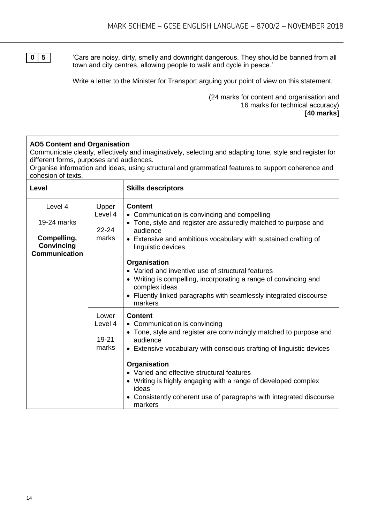**0 5**  $\blacksquare$  'Cars are noisy, dirty, smelly and downright dangerous. They should be banned from all town and city centres, allowing people to walk and cycle in peace.'

Write a letter to the Minister for Transport arguing your point of view on this statement.

(24 marks for content and organisation and 16 marks for technical accuracy) **[40 marks]**

#### **AO5 Content and Organisation**

Communicate clearly, effectively and imaginatively, selecting and adapting tone, style and register for different forms, purposes and audiences.

Organise information and ideas, using structural and grammatical features to support coherence and cohesion of texts.

| Level                                                    |                  | <b>Skills descriptors</b>                                                                                                         |
|----------------------------------------------------------|------------------|-----------------------------------------------------------------------------------------------------------------------------------|
| Level 4<br>19-24 marks                                   | Upper<br>Level 4 | <b>Content</b><br>• Communication is convincing and compelling<br>• Tone, style and register are assuredly matched to purpose and |
|                                                          | $22 - 24$        | audience                                                                                                                          |
| Compelling,<br><b>Convincing</b><br><b>Communication</b> | marks            | • Extensive and ambitious vocabulary with sustained crafting of<br>linguistic devices                                             |
|                                                          |                  | Organisation                                                                                                                      |
|                                                          |                  | • Varied and inventive use of structural features                                                                                 |
|                                                          |                  | • Writing is compelling, incorporating a range of convincing and<br>complex ideas                                                 |
|                                                          |                  | • Fluently linked paragraphs with seamlessly integrated discourse<br>markers                                                      |
|                                                          | Lower            | <b>Content</b>                                                                                                                    |
|                                                          | Level 4          | • Communication is convincing                                                                                                     |
|                                                          | 19-21            | • Tone, style and register are convincingly matched to purpose and<br>audience                                                    |
|                                                          | marks            | • Extensive vocabulary with conscious crafting of linguistic devices                                                              |
|                                                          |                  | Organisation                                                                                                                      |
|                                                          |                  | • Varied and effective structural features                                                                                        |
|                                                          |                  | • Writing is highly engaging with a range of developed complex<br>ideas                                                           |
|                                                          |                  | • Consistently coherent use of paragraphs with integrated discourse<br>markers                                                    |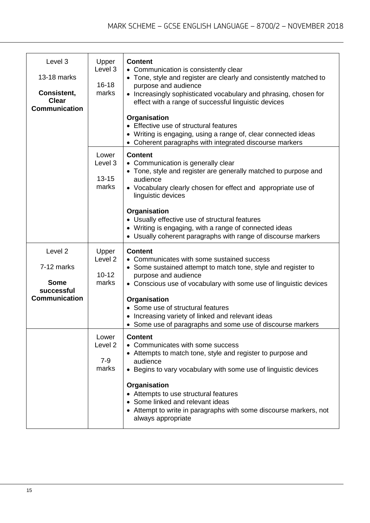| Level 3<br>13-18 marks<br>Consistent,<br><b>Clear</b><br><b>Communication</b>         | Upper<br>Level 3<br>$16 - 18$<br>marks            | <b>Content</b><br>• Communication is consistently clear<br>• Tone, style and register are clearly and consistently matched to<br>purpose and audience<br>• Increasingly sophisticated vocabulary and phrasing, chosen for<br>effect with a range of successful linguistic devices<br>Organisation<br>• Effective use of structural features<br>• Writing is engaging, using a range of, clear connected ideas<br>• Coherent paragraphs with integrated discourse markers |  |
|---------------------------------------------------------------------------------------|---------------------------------------------------|--------------------------------------------------------------------------------------------------------------------------------------------------------------------------------------------------------------------------------------------------------------------------------------------------------------------------------------------------------------------------------------------------------------------------------------------------------------------------|--|
|                                                                                       | Lower<br>Level 3<br>$13 - 15$<br>marks            | <b>Content</b><br>• Communication is generally clear<br>• Tone, style and register are generally matched to purpose and<br>audience<br>• Vocabulary clearly chosen for effect and appropriate use of<br>linguistic devices<br>Organisation<br>• Usually effective use of structural features<br>• Writing is engaging, with a range of connected ideas<br>• Usually coherent paragraphs with range of discourse markers                                                  |  |
| Level <sub>2</sub><br>7-12 marks<br><b>Some</b><br>successful<br><b>Communication</b> | Upper<br>Level <sub>2</sub><br>$10 - 12$<br>marks | <b>Content</b><br>• Communicates with some sustained success<br>• Some sustained attempt to match tone, style and register to<br>purpose and audience<br>• Conscious use of vocabulary with some use of linguistic devices<br>Organisation<br>• Some use of structural features<br>• Increasing variety of linked and relevant ideas<br>• Some use of paragraphs and some use of discourse markers                                                                       |  |
|                                                                                       | Lower<br>Level <sub>2</sub><br>$7 - 9$<br>marks   | <b>Content</b><br>• Communicates with some success<br>• Attempts to match tone, style and register to purpose and<br>audience<br>• Begins to vary vocabulary with some use of linguistic devices<br>Organisation<br>• Attempts to use structural features<br>• Some linked and relevant ideas<br>• Attempt to write in paragraphs with some discourse markers, not<br>always appropriate                                                                                 |  |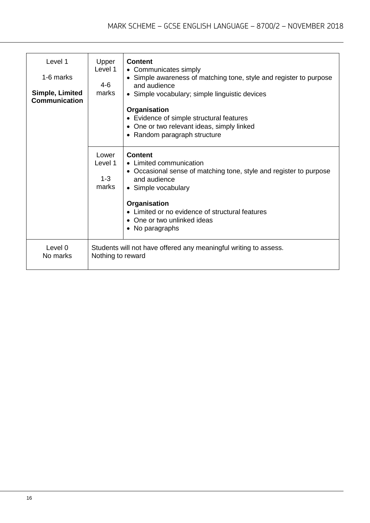| Level 1<br>1-6 marks<br>Simple, Limited<br><b>Communication</b> | Upper<br>Level 1<br>$4 - 6$<br>marks                                                  | <b>Content</b><br>• Communicates simply<br>• Simple awareness of matching tone, style and register to purpose<br>and audience<br>• Simple vocabulary; simple linguistic devices<br>Organisation |
|-----------------------------------------------------------------|---------------------------------------------------------------------------------------|-------------------------------------------------------------------------------------------------------------------------------------------------------------------------------------------------|
|                                                                 |                                                                                       | • Evidence of simple structural features                                                                                                                                                        |
|                                                                 |                                                                                       | One or two relevant ideas, simply linked                                                                                                                                                        |
|                                                                 |                                                                                       | • Random paragraph structure                                                                                                                                                                    |
|                                                                 | Lower<br>Level 1<br>$1 - 3$<br>marks                                                  | <b>Content</b><br>• Limited communication<br>• Occasional sense of matching tone, style and register to purpose<br>and audience<br>• Simple vocabulary                                          |
|                                                                 |                                                                                       | Organisation<br>• Limited or no evidence of structural features<br>One or two unlinked ideas<br>• No paragraphs                                                                                 |
| Level 0<br>No marks                                             | Students will not have offered any meaningful writing to assess.<br>Nothing to reward |                                                                                                                                                                                                 |